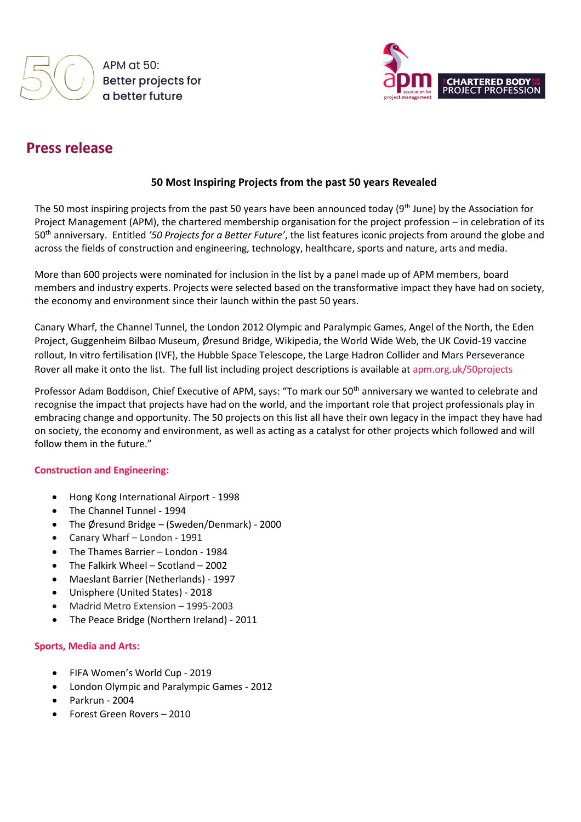

APM at 50: Better projects for a better future



# **Press release**

## **t 50 Most Inspiring Projects from the past 50 years Revealed**

The 50 most inspiring projects from the past 50 years have been announced today (9th June) by the Association for Project Management (APM), the chartered membership organisation for the project profession – in celebration of its 50th anniversary. Entitled *'50 Projects for a Better Future'*, the list features iconic projects from around the globe and across the fields of construction and engineering, technology, healthcare, sports and nature, arts and media.

More than 600 projects were nominated for inclusion in the list by a panel made up of APM members, board members and industry experts. Projects were selected based on the transformative impact they have had on society, the economy and environment since their launch within the past 50 years.

Canary Wharf, the Channel Tunnel, the London 2012 Olympic and Paralympic Games, Angel of the North, the Eden Project, Guggenheim Bilbao Museum, Øresund Bridge, Wikipedia, the World Wide Web, the UK Covid-19 vaccine rollout, In vitro fertilisation (IVF), the Hubble Space Telescope, the Large Hadron Collider and Mars Perseverance Rover all make it onto the list. The full list including project descriptions is available a[t apm.org.uk/50projects](https://www.apm.org.uk/50projects)

Professor Adam Boddison, Chief Executive of APM, says: "To mark our 50<sup>th</sup> anniversary we wanted to celebrate and recognise the impact that projects have had on the world, and the important role that project professionals play in embracing change and opportunity. The 50 projects on this list all have their own legacy in the impact they have had on society, the economy and environment, as well as acting as a catalyst for other projects which followed and will follow them in the future."

### **[Construction and Engineering:](https://www.apm.org.uk/about-us/50-projects/construction-and-infrastructure/)**

- Hong Kong International Airport 1998
- The Channel Tunnel 1994
- The Øresund Bridge (Sweden/Denmark) 2000
- Canary Wharf London 1991
- The Thames Barrier London 1984
- The Falkirk Wheel Scotland 2002
- Maeslant Barrier (Netherlands) 1997
- Unisphere (United States) 2018
- Madrid Metro Extension 1995-2003
- The Peace Bridge (Northern Ireland) 2011

#### **[Sports, Media and Arts:](https://www.apm.org.uk/about-us/50-projects/media-sports-and-arts/)**

- FIFA Women's World Cup 2019
- London Olympic and Paralympic Games 2012
- Parkrun 2004
- Forest Green Rovers 2010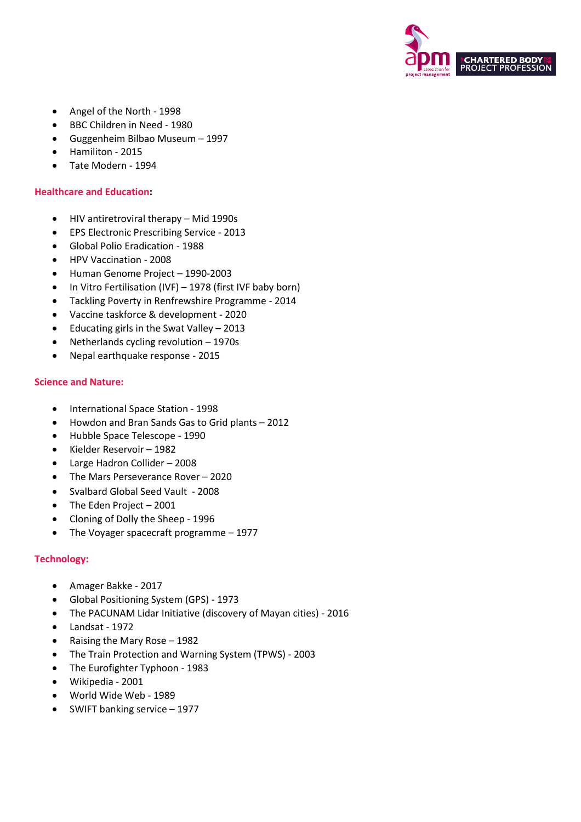

- Angel of the North 1998
- BBC Children in Need 1980
- Guggenheim Bilbao Museum 1997
- Hamiliton 2015
- [Tate Modern -](https://www.apm.org.uk/about-us/50-projects/healthcare/) 1994

#### **Healthcare [and Education:](https://www.apm.org.uk/about-us/50-projects/healthcare/)**

- HIV antiretroviral therapy Mid 1990s
- EPS Electronic Prescribing Service 2013
- Global Polio Eradication 1988
- HPV Vaccination 2008
- Human Genome Project 1990-2003
- In Vitro Fertilisation (IVF) 1978 (first IVF baby born)
- Tackling Poverty in Renfrewshire Programme 2014
- Vaccine taskforce & development 2020
- Educating girls in the Swat Valley 2013
- Netherlands cycling revolution 1970s
- Nepal earthquake response 2015

#### **[Science and Nature:](https://www.apm.org.uk/about-us/50-projects/science-and-nature/)**

- International Space Station 1998
- Howdon and Bran Sands Gas to Grid plants 2012
- Hubble Space Telescope 1990
- Kielder Reservoir 1982
- Large Hadron Collider 2008
- The Mars Perseverance Rover 2020
- Svalbard Global Seed Vault 2008
- The Eden Project 2001
- Cloning of Dolly the Sheep 1996
- The Voyager spacecraft programme 1977

#### **[Technology:](https://www.apm.org.uk/about-us/50-projects/technology/)**

- Amager Bakke 2017
- Global Positioning System (GPS) 1973
- The PACUNAM Lidar Initiative (discovery of Mayan cities) 2016
- Landsat 1972
- Raising the Mary Rose 1982
- The Train Protection and Warning System (TPWS) 2003
- The Eurofighter Typhoon 1983
- Wikipedia 2001
- World Wide Web 1989
- SWIFT banking service 1977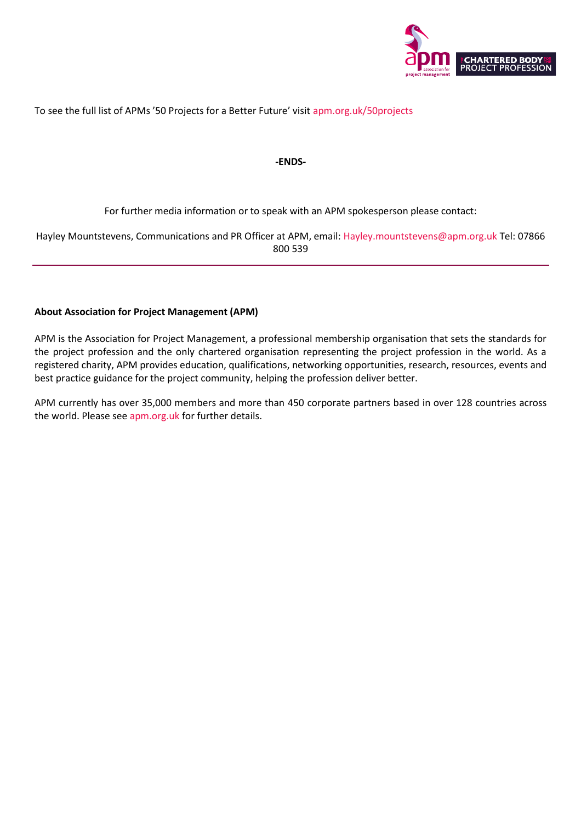

To see the full list of APMs '50 Projects for a Better Future' visit [apm.org.uk/50projects](https://www.apm.org.uk/50projects)

#### **-ENDS-**

For further media information or to speak with an APM spokesperson please contact:

Hayley Mountstevens, Communications and PR Officer at APM, email[: Hayley.mountstevens@apm.org.uk](mailto:Hayley.mountstevens@apm.org.uk) Tel: 07866 800 539

#### **About Association for Project Management (APM)**

APM is the Association for Project Management, a professional membership organisation that sets the standards for the project profession and the only chartered organisation representing the project profession in the world. As a registered charity, APM provides education, qualifications, networking opportunities, research, resources, events and best practice guidance for the project community, helping the profession deliver better.

APM currently has over 35,000 members and more than 450 corporate partners based in over 128 countries across the world. Please see [apm.org.uk](about:blank) for further details.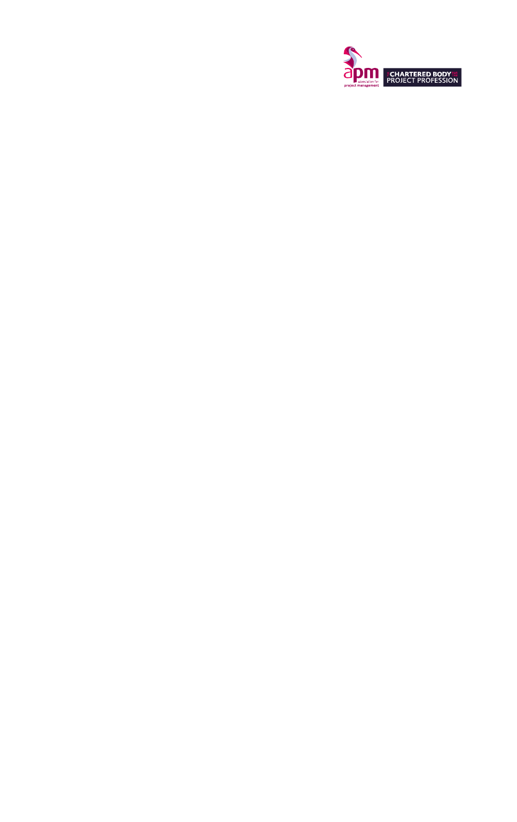